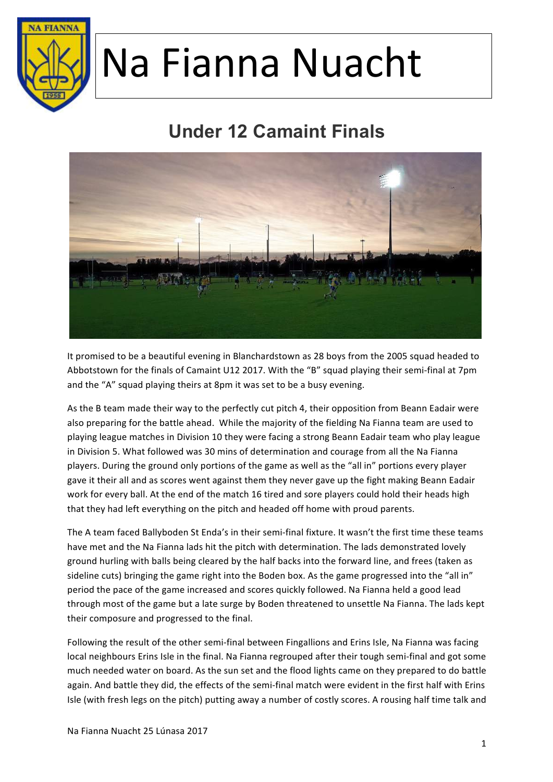

### **Under 12 Camaint Finals**



It promised to be a beautiful evening in Blanchardstown as 28 boys from the 2005 squad headed to Abbotstown for the finals of Camaint U12 2017. With the "B" squad playing their semi-final at 7pm and the "A" squad playing theirs at 8pm it was set to be a busy evening.

As the B team made their way to the perfectly cut pitch 4, their opposition from Beann Eadair were also preparing for the battle ahead. While the majority of the fielding Na Fianna team are used to playing league matches in Division 10 they were facing a strong Beann Eadair team who play league in Division 5. What followed was 30 mins of determination and courage from all the Na Fianna players. During the ground only portions of the game as well as the "all in" portions every player gave it their all and as scores went against them they never gave up the fight making Beann Eadair work for every ball. At the end of the match 16 tired and sore players could hold their heads high that they had left everything on the pitch and headed off home with proud parents.

The A team faced Ballyboden St Enda's in their semi-final fixture. It wasn't the first time these teams have met and the Na Fianna lads hit the pitch with determination. The lads demonstrated lovely ground hurling with balls being cleared by the half backs into the forward line, and frees (taken as sideline cuts) bringing the game right into the Boden box. As the game progressed into the "all in" period the pace of the game increased and scores quickly followed. Na Fianna held a good lead through most of the game but a late surge by Boden threatened to unsettle Na Fianna. The lads kept their composure and progressed to the final.

Following the result of the other semi-final between Fingallions and Erins Isle, Na Fianna was facing local neighbours Erins Isle in the final. Na Fianna regrouped after their tough semi-final and got some much needed water on board. As the sun set and the flood lights came on they prepared to do battle again. And battle they did, the effects of the semi-final match were evident in the first half with Erins Isle (with fresh legs on the pitch) putting away a number of costly scores. A rousing half time talk and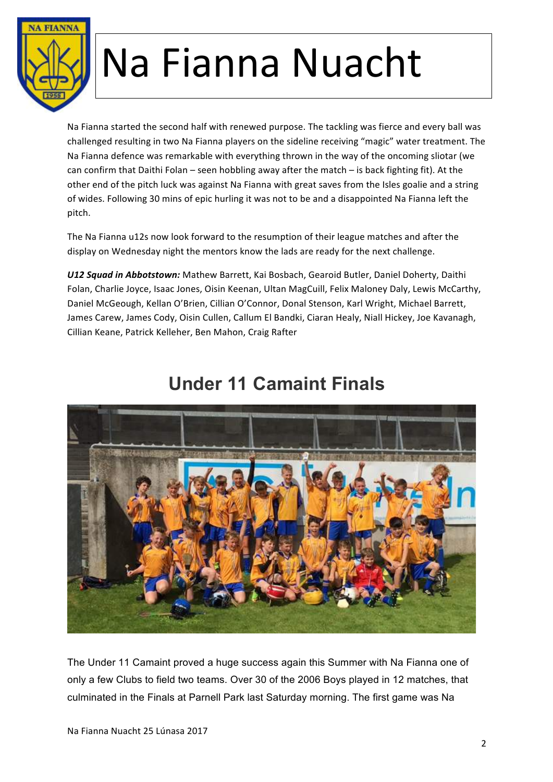

Na Fianna started the second half with renewed purpose. The tackling was fierce and every ball was challenged resulting in two Na Fianna players on the sideline receiving "magic" water treatment. The Na Fianna defence was remarkable with everything thrown in the way of the oncoming sliotar (we can confirm that Daithi Folan – seen hobbling away after the match – is back fighting fit). At the other end of the pitch luck was against Na Fianna with great saves from the Isles goalie and a string of wides. Following 30 mins of epic hurling it was not to be and a disappointed Na Fianna left the pitch. 

The Na Fianna u12s now look forward to the resumption of their league matches and after the display on Wednesday night the mentors know the lads are ready for the next challenge.

U12 Squad in Abbotstown: Mathew Barrett, Kai Bosbach, Gearoid Butler, Daniel Doherty, Daithi Folan, Charlie Joyce, Isaac Jones, Oisin Keenan, Ultan MagCuill, Felix Maloney Daly, Lewis McCarthy, Daniel McGeough, Kellan O'Brien, Cillian O'Connor, Donal Stenson, Karl Wright, Michael Barrett, James Carew, James Cody, Oisin Cullen, Callum El Bandki, Ciaran Healy, Niall Hickey, Joe Kavanagh, Cillian Keane, Patrick Kelleher, Ben Mahon, Craig Rafter



#### **Under 11 Camaint Finals**

The Under 11 Camaint proved a huge success again this Summer with Na Fianna one of only a few Clubs to field two teams. Over 30 of the 2006 Boys played in 12 matches, that culminated in the Finals at Parnell Park last Saturday morning. The first game was Na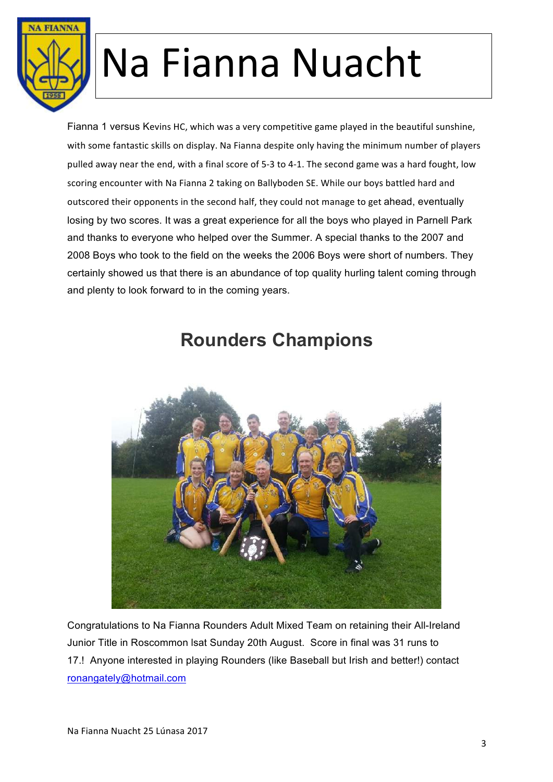

Fianna 1 versus Kevins HC, which was a very competitive game played in the beautiful sunshine, with some fantastic skills on display. Na Fianna despite only having the minimum number of players pulled away near the end, with a final score of 5-3 to 4-1. The second game was a hard fought, low scoring encounter with Na Fianna 2 taking on Ballyboden SE. While our boys battled hard and outscored their opponents in the second half, they could not manage to get ahead, eventually losing by two scores. It was a great experience for all the boys who played in Parnell Park and thanks to everyone who helped over the Summer. A special thanks to the 2007 and 2008 Boys who took to the field on the weeks the 2006 Boys were short of numbers. They certainly showed us that there is an abundance of top quality hurling talent coming through and plenty to look forward to in the coming years.



#### **Rounders Champions**

Congratulations to Na Fianna Rounders Adult Mixed Team on retaining their All-Ireland Junior Title in Roscommon lsat Sunday 20th August. Score in final was 31 runs to 17.! Anyone interested in playing Rounders (like Baseball but Irish and better!) contact ronangately@hotmail.com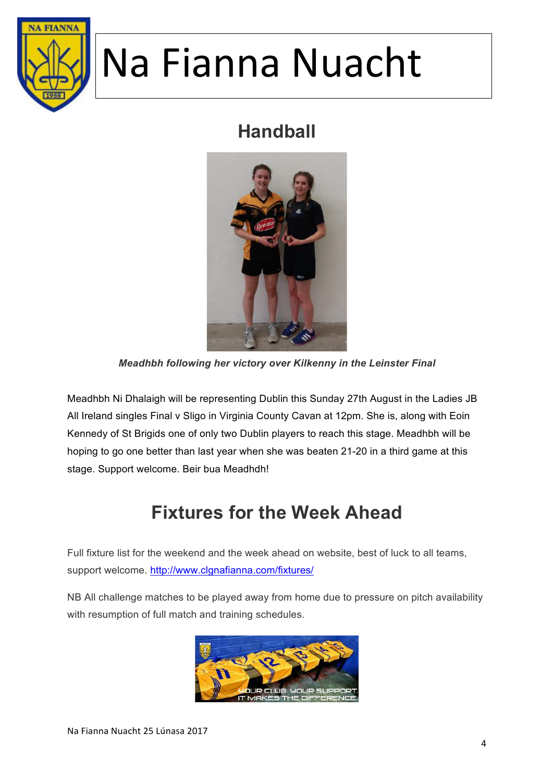

#### **Handball**



*Meadhbh following her victory over Kilkenny in the Leinster Final*

Meadhbh Ni Dhalaigh will be representing Dublin this Sunday 27th August in the Ladies JB All Ireland singles Final v Sligo in Virginia County Cavan at 12pm. She is, along with Eoin Kennedy of St Brigids one of only two Dublin players to reach this stage. Meadhbh will be hoping to go one better than last year when she was beaten 21-20 in a third game at this stage. Support welcome. Beir bua Meadhdh!

#### **Fixtures for the Week Ahead**

Full fixture list for the weekend and the week ahead on website, best of luck to all teams, support welcome. http://www.clgnafianna.com/fixtures/

NB All challenge matches to be played away from home due to pressure on pitch availability with resumption of full match and training schedules.

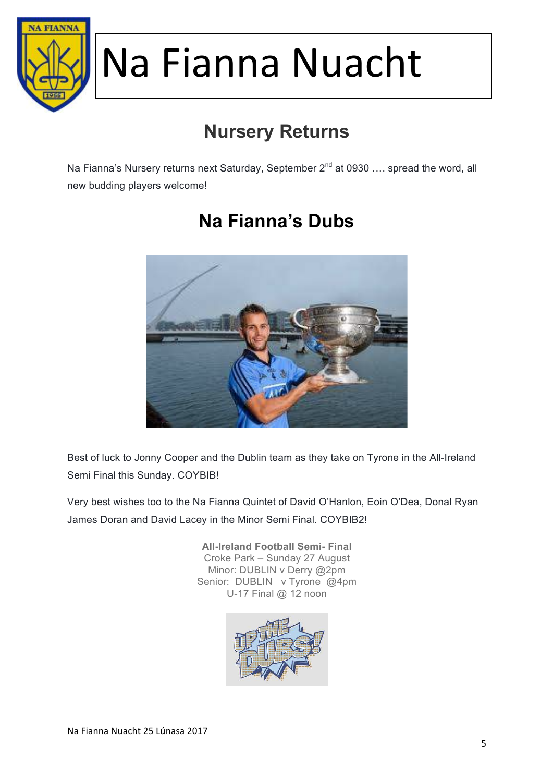

### **Nursery Returns**

Na Fianna's Nursery returns next Saturday, September 2<sup>nd</sup> at 0930 .... spread the word, all new budding players welcome!



### **Na Fianna's Dubs**

Best of luck to Jonny Cooper and the Dublin team as they take on Tyrone in the All-Ireland Semi Final this Sunday. COYBIB!

Very best wishes too to the Na Fianna Quintet of David O'Hanlon, Eoin O'Dea, Donal Ryan James Doran and David Lacey in the Minor Semi Final. COYBIB2!

> **All-Ireland Football Semi- Final** Croke Park – Sunday 27 August Minor: DUBLIN v Derry @2pm Senior: DUBLIN v Tyrone @4pm U-17 Final @ 12 noon

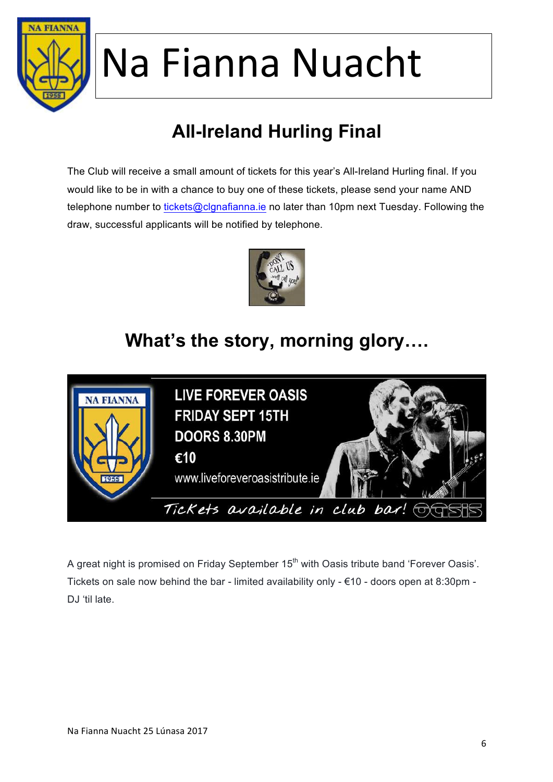

### **All-Ireland Hurling Final**

The Club will receive a small amount of tickets for this year's All-Ireland Hurling final. If you would like to be in with a chance to buy one of these tickets, please send your name AND telephone number to tickets@clgnafianna.ie no later than 10pm next Tuesday. Following the draw, successful applicants will be notified by telephone.



#### **What's the story, morning glory….**



A great night is promised on Friday September 15<sup>th</sup> with Oasis tribute band 'Forever Oasis'. Tickets on sale now behind the bar - limited availability only - €10 - doors open at 8:30pm - DJ 'til late.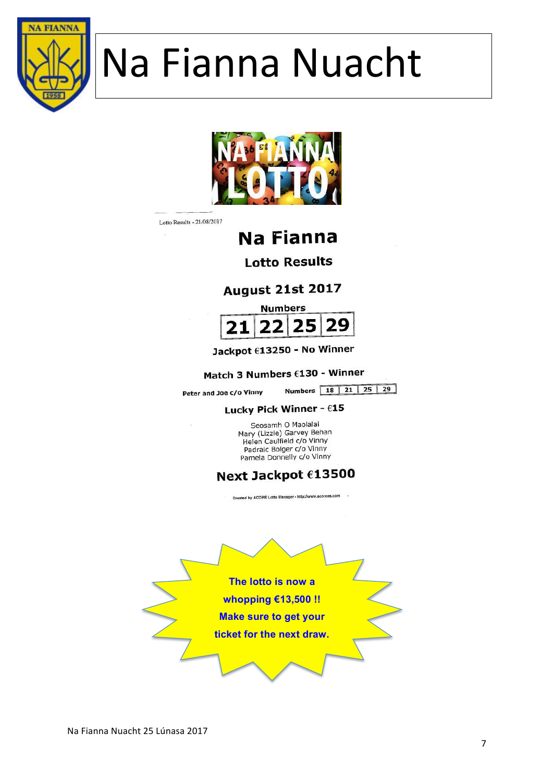



Lotto Results - 21/08/2017

#### **Na Fianna**

**Lotto Results** 

**August 21st 2017** 



Jackpot €13250 - No Winner

#### Match 3 Numbers €130 - Winner

Peter and Joe c/o Vinny

Numbers 18 21 25 29

#### Lucky Pick Winner - €15

Seosamh O Maolalai Mary (Lizzie) Garvey Behan Helen Caulfield c/o Vinny Padraic Bolger c/o Vinny Pamela Donnelly c/o Vinny

#### Next Jackpot €13500

Created by ACORE Lotto Manager - http://www.acoress.co

**The lotto is now a whopping €13,500 !! Make sure to get your ticket for the next draw.**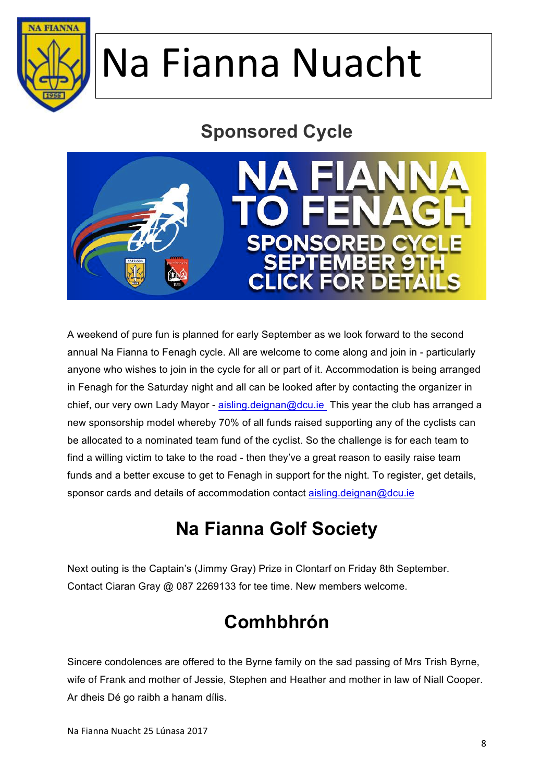

#### **Sponsored Cycle**



A weekend of pure fun is planned for early September as we look forward to the second annual Na Fianna to Fenagh cycle. All are welcome to come along and join in - particularly anyone who wishes to join in the cycle for all or part of it. Accommodation is being arranged in Fenagh for the Saturday night and all can be looked after by contacting the organizer in chief, our very own Lady Mayor - aisling.deignan@dcu.ie This year the club has arranged a new sponsorship model whereby 70% of all funds raised supporting any of the cyclists can be allocated to a nominated team fund of the cyclist. So the challenge is for each team to find a willing victim to take to the road - then they've a great reason to easily raise team funds and a better excuse to get to Fenagh in support for the night. To register, get details, sponsor cards and details of accommodation contact aisling.deignan@dcu.ie

### **Na Fianna Golf Society**

Next outing is the Captain's (Jimmy Gray) Prize in Clontarf on Friday 8th September. Contact Ciaran Gray @ 087 2269133 for tee time. New members welcome.

### **Comhbhrón**

Sincere condolences are offered to the Byrne family on the sad passing of Mrs Trish Byrne, wife of Frank and mother of Jessie, Stephen and Heather and mother in law of Niall Cooper. Ar dheis Dé go raibh a hanam dílis.